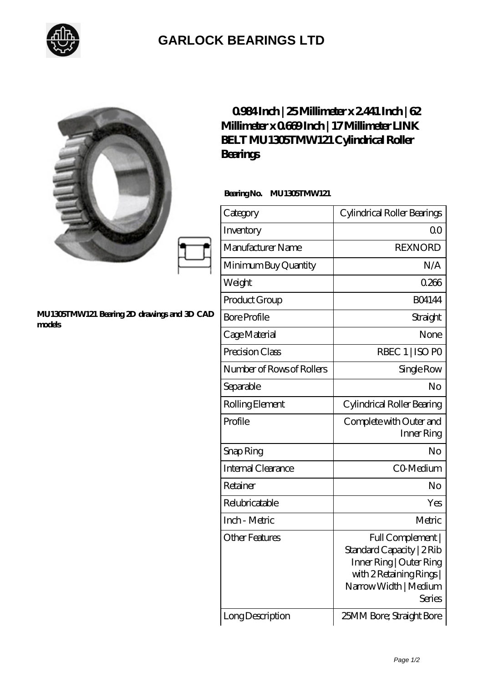

## **[GARLOCK BEARINGS LTD](https://m.letterstopriests.com)**

|                                                       | $0984$ Inch   25 Millimeter x 2441 Inch   62<br>Millimeter x 0639Inch   17 Millimeter LINK<br><b>BELT MU1305TMW121 Cylindrical Roller</b><br><b>Bearings</b> |                                                                                                                                       |
|-------------------------------------------------------|--------------------------------------------------------------------------------------------------------------------------------------------------------------|---------------------------------------------------------------------------------------------------------------------------------------|
|                                                       | BearingNo.<br><b>MU1305TMW121</b>                                                                                                                            |                                                                                                                                       |
|                                                       | Category                                                                                                                                                     | Cylindrical Roller Bearings                                                                                                           |
|                                                       | Inventory                                                                                                                                                    | 0 <sup>0</sup>                                                                                                                        |
|                                                       | Manufacturer Name                                                                                                                                            | <b>REXNORD</b>                                                                                                                        |
|                                                       | Minimum Buy Quantity                                                                                                                                         | N/A                                                                                                                                   |
|                                                       | Weight                                                                                                                                                       | 0.266                                                                                                                                 |
|                                                       | Product Group                                                                                                                                                | <b>BO4144</b>                                                                                                                         |
| MU1305TMW121 Bearing 2D drawings and 3D CAD<br>models | <b>Bore Profile</b>                                                                                                                                          | Straight                                                                                                                              |
|                                                       | Cage Material                                                                                                                                                | None                                                                                                                                  |
|                                                       | Precision Class                                                                                                                                              | RBEC 1   ISO PO                                                                                                                       |
|                                                       | Number of Rows of Rollers                                                                                                                                    | Single Row                                                                                                                            |
|                                                       | Separable                                                                                                                                                    | No                                                                                                                                    |
|                                                       | Rolling Element                                                                                                                                              | Cylindrical Roller Bearing                                                                                                            |
|                                                       | Profile                                                                                                                                                      | Complete with Outer and<br>Inner Ring                                                                                                 |
|                                                       | Snap Ring                                                                                                                                                    | No                                                                                                                                    |
|                                                       | Internal Clearance                                                                                                                                           | CO-Medium                                                                                                                             |
|                                                       | Retainer                                                                                                                                                     | N <sub>o</sub>                                                                                                                        |
|                                                       | Relubricatable                                                                                                                                               | Yes                                                                                                                                   |
|                                                       | Inch - Metric                                                                                                                                                | Metric                                                                                                                                |
|                                                       | Other Features                                                                                                                                               | Full Complement  <br>Standard Capacity   2Rib<br>Inner Ring   Outer Ring<br>with 2 Retaining Rings<br>Narrow Width   Medium<br>Series |
|                                                       | Long Description                                                                                                                                             | 25MM Bore; Straight Bore                                                                                                              |